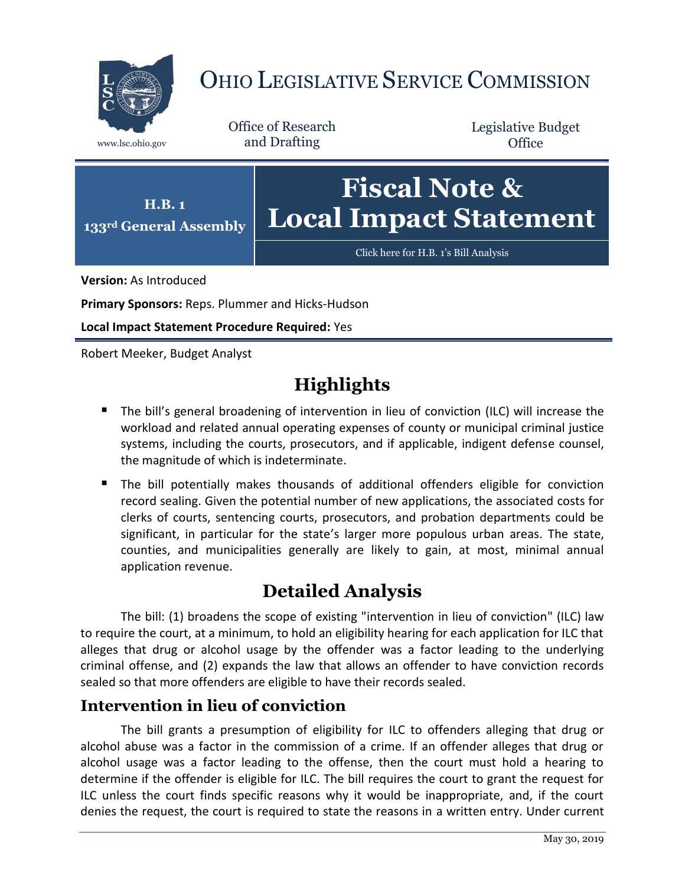

# OHIO LEGISLATIVE SERVICE COMMISSION

Office of Research www.lsc.ohio.gov and Drafting

Legislative Budget **Office** 



**Version:** As Introduced

**Primary Sponsors:** Reps. Plummer and Hicks-Hudson

**Local Impact Statement Procedure Required:** Yes

Robert Meeker, Budget Analyst

## **Highlights**

- The bill's general broadening of intervention in lieu of conviction (ILC) will increase the workload and related annual operating expenses of county or municipal criminal justice systems, including the courts, prosecutors, and if applicable, indigent defense counsel, the magnitude of which is indeterminate.
- The bill potentially makes thousands of additional offenders eligible for conviction record sealing. Given the potential number of new applications, the associated costs for clerks of courts, sentencing courts, prosecutors, and probation departments could be significant, in particular for the state's larger more populous urban areas. The state, counties, and municipalities generally are likely to gain, at most, minimal annual application revenue.

## **Detailed Analysis**

The bill: (1) broadens the scope of existing "intervention in lieu of conviction" (ILC) law to require the court, at a minimum, to hold an eligibility hearing for each application for ILC that alleges that drug or alcohol usage by the offender was a factor leading to the underlying criminal offense, and (2) expands the law that allows an offender to have conviction records sealed so that more offenders are eligible to have their records sealed.

### **Intervention in lieu of conviction**

The bill grants a presumption of eligibility for ILC to offenders alleging that drug or alcohol abuse was a factor in the commission of a crime. If an offender alleges that drug or alcohol usage was a factor leading to the offense, then the court must hold a hearing to determine if the offender is eligible for ILC. The bill requires the court to grant the request for ILC unless the court finds specific reasons why it would be inappropriate, and, if the court denies the request, the court is required to state the reasons in a written entry. Under current